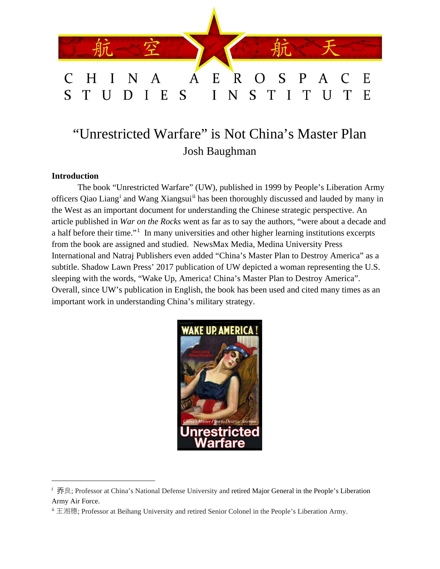

# "Unrestricted Warfare" is Not China's Master Plan Josh Baughman

# **Introduction**

The book "Unrestricted Warfare" (UW), published in 1999 by People's Liberation Army off[i](#page-0-0)cers Qiao Liang<sup>i</sup> and Wang Xiangsui<sup>[ii](#page-0-1)</sup> has been thoroughly discussed and lauded by many in the West as an important document for understanding the Chinese strategic perspective. An article published in *War on the Rocks* went as far as to say the authors, "were about a decade and a half before their time."<sup>[1](#page-10-0)</sup> In many universities and other higher learning institutions excerpts from the book are assigned and studied. NewsMax Media, Medina University Press International and Natraj Publishers even added "China's Master Plan to Destroy America" as a subtitle. Shadow Lawn Press' 2017 publication of UW depicted a woman representing the U.S. sleeping with the words, "Wake Up, America! China's Master Plan to Destroy America". Overall, since UW's publication in English, the book has been used and cited many times as an important work in understanding China's military strategy.



<sup>&</sup>lt;sup>i</sup> 乔良; Professor at China's National Defense University and retired Major General in the People's Liberation Army Air Force.

<span id="page-0-1"></span><span id="page-0-0"></span>ii 王湘穗; Professor at Beihang University and retired Senior Colonel in the People's Liberation Army.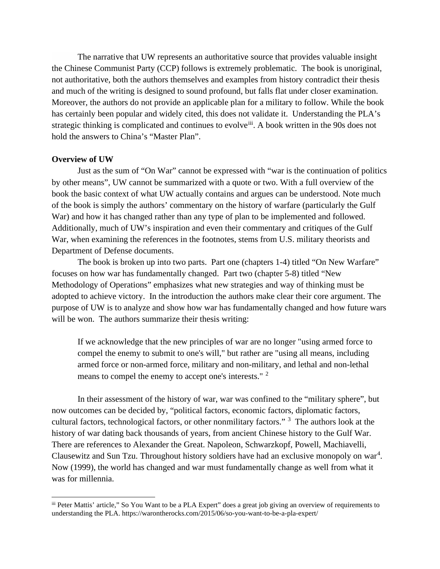The narrative that UW represents an authoritative source that provides valuable insight the Chinese Communist Party (CCP) follows is extremely problematic. The book is unoriginal, not authoritative, both the authors themselves and examples from history contradict their thesis and much of the writing is designed to sound profound, but falls flat under closer examination. Moreover, the authors do not provide an applicable plan for a military to follow. While the book has certainly been popular and widely cited, this does not validate it. Understanding the PLA's strategic thinking is complicated and continues to evolve<sup>[iii](#page-1-0)</sup>. A book written in the 90s does not hold the answers to China's "Master Plan".

#### **Overview of UW**

Just as the sum of "On War" cannot be expressed with "war is the continuation of politics by other means", UW cannot be summarized with a quote or two. With a full overview of the book the basic context of what UW actually contains and argues can be understood. Note much of the book is simply the authors' commentary on the history of warfare (particularly the Gulf War) and how it has changed rather than any type of plan to be implemented and followed. Additionally, much of UW's inspiration and even their commentary and critiques of the Gulf War, when examining the references in the footnotes, stems from U.S. military theorists and Department of Defense documents.

The book is broken up into two parts. Part one (chapters 1-4) titled "On New Warfare" focuses on how war has fundamentally changed. Part two (chapter 5-8) titled "New Methodology of Operations" emphasizes what new strategies and way of thinking must be adopted to achieve victory. In the introduction the authors make clear their core argument. The purpose of UW is to analyze and show how war has fundamentally changed and how future wars will be won. The authors summarize their thesis writing:

If we acknowledge that the new principles of war are no longer "using armed force to compel the enemy to submit to one's will," but rather are "using all means, including armed force or non-armed force, military and non-military, and lethal and non-lethal means to compel the enemy to accept one's interests." [2](#page-10-1)

In their assessment of the history of war, war was confined to the "military sphere", but now outcomes can be decided by, "political factors, economic factors, diplomatic factors, cultural factors, technological factors, or other nonmilitary factors." <sup>[3](#page-10-2)</sup> The authors look at the history of war dating back thousands of years, from ancient Chinese history to the Gulf War. There are references to Alexander the Great. Napoleon, Schwarzkopf, Powell, Machiavelli, Clausewitz and Sun Tzu. Throughout history soldiers have had an exclusive monopoly on war<sup>[4](#page-10-3)</sup>. Now (1999), the world has changed and war must fundamentally change as well from what it was for millennia.

<span id="page-1-0"></span>iii Peter Mattis' article," So You Want to be a PLA Expert" does a great job giving an overview of requirements to understanding the PLA. https://warontherocks.com/2015/06/so-you-want-to-be-a-pla-expert/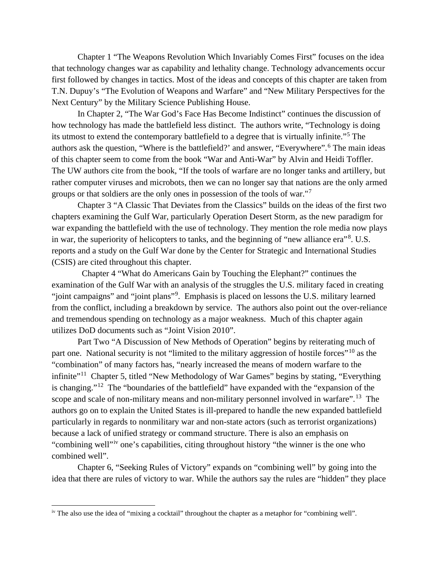Chapter 1 "The Weapons Revolution Which Invariably Comes First" focuses on the idea that technology changes war as capability and lethality change. Technology advancements occur first followed by changes in tactics. Most of the ideas and concepts of this chapter are taken from T.N. Dupuy's "The Evolution of Weapons and Warfare" and "New Military Perspectives for the Next Century" by the Military Science Publishing House.

In Chapter 2, "The War God's Face Has Become Indistinct" continues the discussion of how technology has made the battlefield less distinct. The authors write, "Technology is doing its utmost to extend the contemporary battlefield to a degree that is virtually infinite."[5](#page-10-4) The authors ask the question, "Where is the battlefield?' and answer, "Everywhere".<sup>[6](#page-10-5)</sup> The main ideas of this chapter seem to come from the book "War and Anti-War" by Alvin and Heidi Toffler. The UW authors cite from the book, "If the tools of warfare are no longer tanks and artillery, but rather computer viruses and microbots, then we can no longer say that nations are the only armed groups or that soldiers are the only ones in possession of the tools of war."[7](#page-10-6)

Chapter 3 "A Classic That Deviates from the Classics" builds on the ideas of the first two chapters examining the Gulf War, particularly Operation Desert Storm, as the new paradigm for war expanding the battlefield with the use of technology. They mention the role media now plays in war, the superiority of helicopters to tanks, and the beginning of "new alliance era"<sup>[8](#page-10-7)</sup>. U.S. reports and a study on the Gulf War done by the Center for Strategic and International Studies (CSIS) are cited throughout this chapter.

Chapter 4 "What do Americans Gain by Touching the Elephant?" continues the examination of the Gulf War with an analysis of the struggles the U.S. military faced in creating "joint campaigns" and "joint plans"<sup>[9](#page-10-8)</sup>. Emphasis is placed on lessons the U.S. military learned from the conflict, including a breakdown by service. The authors also point out the over-reliance and tremendous spending on technology as a major weakness. Much of this chapter again utilizes DoD documents such as "Joint Vision 2010".

Part Two "A Discussion of New Methods of Operation" begins by reiterating much of part one. National security is not "limited to the military aggression of hostile forces"<sup>[10](#page-10-9)</sup> as the "combination" of many factors has, "nearly increased the means of modern warfare to the infinite"<sup>11</sup> Chapter 5, titled "New Methodology of War Games" begins by stating, "Everything is changing."[12](#page-10-11) The "boundaries of the battlefield" have expanded with the "expansion of the scope and scale of non-military means and non-military personnel involved in warfare".[13](#page-10-12) The authors go on to explain the United States is ill-prepared to handle the new expanded battlefield particularly in regards to nonmilitary war and non-state actors (such as terrorist organizations) because a lack of unified strategy or command structure. There is also an emphasis on "combining well"<sup>[iv](#page-2-0)</sup> one's capabilities, citing throughout history "the winner is the one who combined well".

Chapter 6, "Seeking Rules of Victory" expands on "combining well" by going into the idea that there are rules of victory to war. While the authors say the rules are "hidden" they place

<span id="page-2-0"></span>iv The also use the idea of "mixing a cocktail" throughout the chapter as a metaphor for "combining well".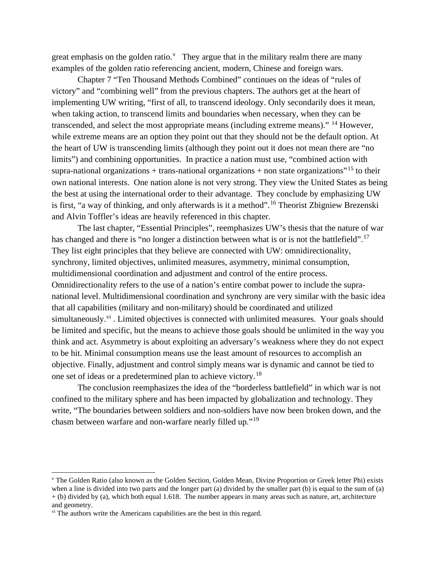great emphasis on the golden ratio.<sup>V</sup> They argue that in the military realm there are many examples of the golden ratio referencing ancient, modern, Chinese and foreign wars.

Chapter 7 "Ten Thousand Methods Combined" continues on the ideas of "rules of victory" and "combining well" from the previous chapters. The authors get at the heart of implementing UW writing, "first of all, to transcend ideology. Only secondarily does it mean, when taking action, to transcend limits and boundaries when necessary, when they can be transcended, and select the most appropriate means (including extreme means)." <sup>[14](#page-10-13)</sup> However, while extreme means are an option they point out that they should not be the default option. At the heart of UW is transcending limits (although they point out it does not mean there are "no limits") and combining opportunities. In practice a nation must use, "combined action with supra-national organizations + trans-national organizations + non state organizations<sup> $15$ </sup> to their own national interests. One nation alone is not very strong. They view the United States as being the best at using the international order to their advantage. They conclude by emphasizing UW is first, "a way of thinking, and only afterwards is it a method".<sup>[16](#page-10-15)</sup> Theorist Zbigniew Brezenski and Alvin Toffler's ideas are heavily referenced in this chapter.

The last chapter, "Essential Principles", reemphasizes UW's thesis that the nature of war has changed and there is "no longer a distinction between what is or is not the battlefield".<sup>[17](#page-10-16)</sup> They list eight principles that they believe are connected with UW: omnidirectionality, synchrony, limited objectives, unlimited measures, asymmetry, minimal consumption, multidimensional coordination and adjustment and control of the entire process. Omnidirectionality refers to the use of a nation's entire combat power to include the supranational level. Multidimensional coordination and synchrony are very similar with the basic idea that all capabilities (military and non-military) should be coordinated and utilized simultaneously. $\dot{v}$ <sup>i</sup>. Limited objectives is connected with unlimited measures. Your goals should be limited and specific, but the means to achieve those goals should be unlimited in the way you think and act. Asymmetry is about exploiting an adversary's weakness where they do not expect to be hit. Minimal consumption means use the least amount of resources to accomplish an objective. Finally, adjustment and control simply means war is dynamic and cannot be tied to one set of ideas or a predetermined plan to achieve victory.[18](#page-10-17)

The conclusion reemphasizes the idea of the "borderless battlefield" in which war is not confined to the military sphere and has been impacted by globalization and technology. They write, "The boundaries between soldiers and non-soldiers have now been broken down, and the chasm between warfare and non-warfare nearly filled up."[19](#page-10-18)

<span id="page-3-0"></span><sup>v</sup> The Golden Ratio (also known as the Golden Section, Golden Mean, Divine Proportion or Greek letter Phi) exists when a line is divided into two parts and the longer part (a) divided by the smaller part (b) is equal to the sum of (a) + (b) divided by (a), which both equal 1.618. The number appears in many areas such as nature, art, architecture and geometry.

<span id="page-3-1"></span>v<sup>i</sup> The authors write the Americans capabilities are the best in this regard.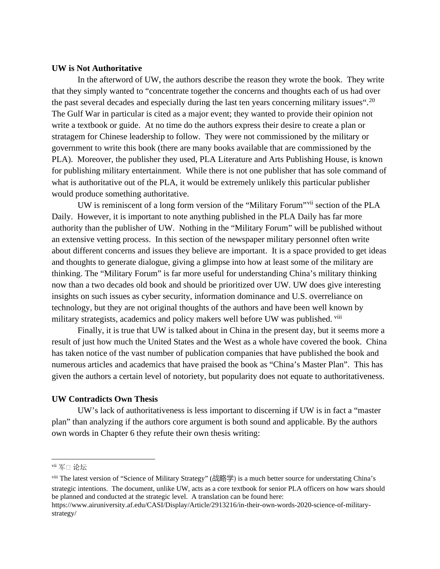## **UW is Not Authoritative**

In the afterword of UW, the authors describe the reason they wrote the book. They write that they simply wanted to "concentrate together the concerns and thoughts each of us had over the past several decades and especially during the last ten years concerning military issues".<sup>[20](#page-10-19)</sup> The Gulf War in particular is cited as a major event; they wanted to provide their opinion not write a textbook or guide. At no time do the authors express their desire to create a plan or stratagem for Chinese leadership to follow. They were not commissioned by the military or government to write this book (there are many books available that are commissioned by the PLA). Moreover, the publisher they used, PLA Literature and Arts Publishing House, is known for publishing military entertainment. While there is not one publisher that has sole command of what is authoritative out of the PLA, it would be extremely unlikely this particular publisher would produce something authoritative.

UW is reminiscent of a long form version of the "Military Forum"[vii](#page-4-0) section of the PLA Daily. However, it is important to note anything published in the PLA Daily has far more authority than the publisher of UW. Nothing in the "Military Forum" will be published without an extensive vetting process. In this section of the newspaper military personnel often write about different concerns and issues they believe are important. It is a space provided to get ideas and thoughts to generate dialogue, giving a glimpse into how at least some of the military are thinking. The "Military Forum" is far more useful for understanding China's military thinking now than a two decades old book and should be prioritized over UW. UW does give interesting insights on such issues as cyber security, information dominance and U.S. overreliance on technology, but they are not original thoughts of the authors and have been well known by military strategists, academics and policy makers well before UW was published. <sup>[viii](#page-4-1)</sup>

Finally, it is true that UW is talked about in China in the present day, but it seems more a result of just how much the United States and the West as a whole have covered the book. China has taken notice of the vast number of publication companies that have published the book and numerous articles and academics that have praised the book as "China's Master Plan". This has given the authors a certain level of notoriety, but popularity does not equate to authoritativeness.

## **UW Contradicts Own Thesis**

UW's lack of authoritativeness is less important to discerning if UW is in fact a "master plan" than analyzing if the authors core argument is both sound and applicable. By the authors own words in Chapter 6 they refute their own thesis writing:

<span id="page-4-0"></span><sup>&</sup>lt;sup>vii</sup> 军□ 论坛

<span id="page-4-1"></span>viii The latest version of "Science of Military Strategy" (战略学) is a much better source for understating China's strategic intentions. The document, unlike UW, acts as a core textbook for senior PLA officers on how wars should be planned and conducted at the strategic level. A translation can be found here:

https://www.airuniversity.af.edu/CASI/Display/Article/2913216/in-their-own-words-2020-science-of-militarystrategy/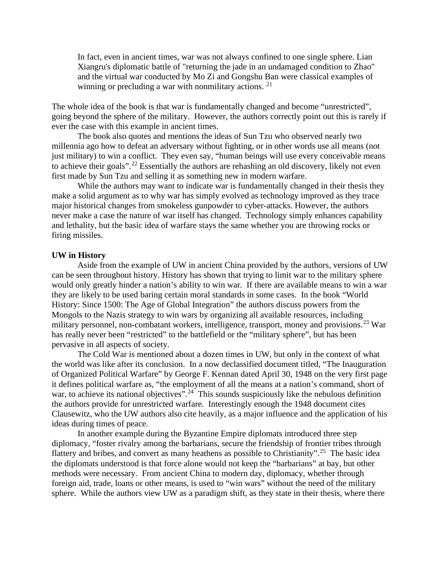In fact, even in ancient times, war was not always confined to one single sphere. Lian Xiangru's diplomatic battle of "returning the jade in an undamaged condition to Zhao" and the virtual war conducted by Mo Zi and Gongshu Ban were classical examples of winning or precluding a war with nonmilitary actions.  $2<sup>1</sup>$ 

The whole idea of the book is that war is fundamentally changed and become "unrestricted", going beyond the sphere of the military. However, the authors correctly point out this is rarely if ever the case with this example in ancient times.

The book also quotes and mentions the ideas of Sun Tzu who observed nearly two millennia ago how to defeat an adversary without fighting, or in other words use all means (not just military) to win a conflict. They even say, "human beings will use every conceivable means to achieve their goals".<sup>[22](#page-10-21)</sup> Essentially the authors are rehashing an old discovery, likely not even first made by Sun Tzu and selling it as something new in modern warfare.

While the authors may want to indicate war is fundamentally changed in their thesis they make a solid argument as to why war has simply evolved as technology improved as they trace major historical changes from smokeless gunpowder to cyber-attacks. However, the authors never make a case the nature of war itself has changed. Technology simply enhances capability and lethality, but the basic idea of warfare stays the same whether you are throwing rocks or firing missiles.

#### **UW in History**

Aside from the example of UW in ancient China provided by the authors, versions of UW can be seen throughout history. History has shown that trying to limit war to the military sphere would only greatly hinder a nation's ability to win war. If there are available means to win a war they are likely to be used baring certain moral standards in some cases. In the book "World History: Since 1500: The Age of Global Integration" the authors discuss powers from the Mongols to the Nazis strategy to win wars by organizing all available resources, including military personnel, non-combatant workers, intelligence, transport, money and provisions.<sup>[23](#page-10-22)</sup> War has really never been "restricted" to the battlefield or the "military sphere", but has been pervasive in all aspects of society.

The Cold War is mentioned about a dozen times in UW, but only in the context of what the world was like after its conclusion. In a now declassified document titled, "The Inauguration of Organized Political Warfare" by George F. Kennan dated April 30, 1948 on the very first page it defines political warfare as, "the employment of all the means at a nation's command, short of war, to achieve its national objectives<sup> $\dot{z}$ </sup>.<sup>24</sup> This sounds suspiciously like the nebulous definition the authors provide for unrestricted warfare. Interestingly enough the 1948 document cites Clausewitz, who the UW authors also cite heavily, as a major influence and the application of his ideas during times of peace.

In another example during the Byzantine Empire diplomats introduced three step diplomacy, "foster rivalry among the barbarians, secure the friendship of frontier tribes through flattery and bribes, and convert as many heathens as possible to Christianity".<sup>25</sup> The basic idea the diplomats understood is that force alone would not keep the "barbarians" at bay, but other methods were necessary. From ancient China to modern day, diplomacy, whether through foreign aid, trade, loans or other means, is used to "win wars" without the need of the military sphere. While the authors view UW as a paradigm shift, as they state in their thesis, where there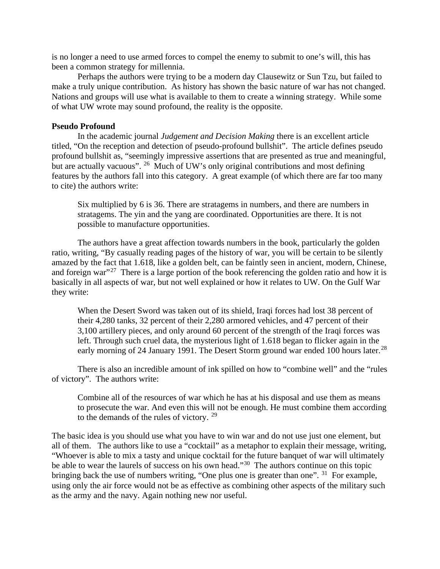is no longer a need to use armed forces to compel the enemy to submit to one's will, this has been a common strategy for millennia.

Perhaps the authors were trying to be a modern day Clausewitz or Sun Tzu, but failed to make a truly unique contribution. As history has shown the basic nature of war has not changed. Nations and groups will use what is available to them to create a winning strategy. While some of what UW wrote may sound profound, the reality is the opposite.

#### **Pseudo Profound**

In the academic journal *Judgement and Decision Making* there is an excellent article titled, "On the reception and detection of pseudo-profound bullshit". The article defines pseudo profound bullshit as, "seemingly impressive assertions that are presented as true and meaningful, but are actually vacuous". <sup>[26](#page-10-25)</sup> Much of UW's only original contributions and most defining features by the authors fall into this category. A great example (of which there are far too many to cite) the authors write:

Six multiplied by 6 is 36. There are stratagems in numbers, and there are numbers in stratagems. The yin and the yang are coordinated. Opportunities are there. It is not possible to manufacture opportunities.

The authors have a great affection towards numbers in the book, particularly the golden ratio, writing, "By casually reading pages of the history of war, you will be certain to be silently amazed by the fact that 1.618, like a golden belt, can be faintly seen in ancient, modern, Chinese, and foreign war"<sup>[27](#page-10-26)</sup> There is a large portion of the book referencing the golden ratio and how it is basically in all aspects of war, but not well explained or how it relates to UW. On the Gulf War they write:

When the Desert Sword was taken out of its shield, Iraqi forces had lost 38 percent of their 4,280 tanks, 32 percent of their 2,280 armored vehicles, and 47 percent of their 3,100 artillery pieces, and only around 60 percent of the strength of the Iraqi forces was left. Through such cruel data, the mysterious light of 1.618 began to flicker again in the early morning of 24 January 1991. The Desert Storm ground war ended 100 hours later.<sup>[28](#page-10-27)</sup>

There is also an incredible amount of ink spilled on how to "combine well" and the "rules of victory". The authors write:

Combine all of the resources of war which he has at his disposal and use them as means to prosecute the war. And even this will not be enough. He must combine them according to the demands of the rules of victory.<sup>[29](#page-10-28)</sup>

The basic idea is you should use what you have to win war and do not use just one element, but all of them. The authors like to use a "cocktail" as a metaphor to explain their message, writing, "Whoever is able to mix a tasty and unique cocktail for the future banquet of war will ultimately be able to wear the laurels of success on his own head."<sup>30</sup> The authors continue on this topic bringing back the use of numbers writing, "One plus one is greater than one".  $31$  For example, using only the air force would not be as effective as combining other aspects of the military such as the army and the navy. Again nothing new nor useful.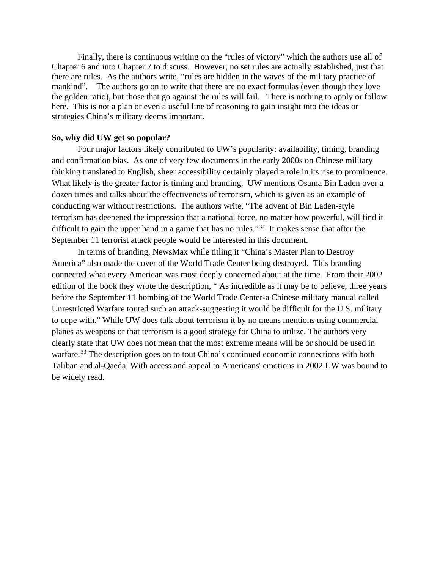Finally, there is continuous writing on the "rules of victory" which the authors use all of Chapter 6 and into Chapter 7 to discuss. However, no set rules are actually established, just that there are rules. As the authors write, "rules are hidden in the waves of the military practice of mankind". The authors go on to write that there are no exact formulas (even though they love the golden ratio), but those that go against the rules will fail. There is nothing to apply or follow here. This is not a plan or even a useful line of reasoning to gain insight into the ideas or strategies China's military deems important.

### **So, why did UW get so popular?**

Four major factors likely contributed to UW's popularity: availability, timing, branding and confirmation bias. As one of very few documents in the early 2000s on Chinese military thinking translated to English, sheer accessibility certainly played a role in its rise to prominence. What likely is the greater factor is timing and branding. UW mentions Osama Bin Laden over a dozen times and talks about the effectiveness of terrorism, which is given as an example of conducting war without restrictions. The authors write, "The advent of Bin Laden-style terrorism has deepened the impression that a national force, no matter how powerful, will find it difficult to gain the upper hand in a game that has no rules."<sup>32</sup> It makes sense that after the September 11 terrorist attack people would be interested in this document.

In terms of branding, NewsMax while titling it "China's Master Plan to Destroy America" also made the cover of the World Trade Center being destroyed. This branding connected what every American was most deeply concerned about at the time. From their 2002 edition of the book they wrote the description, " As incredible as it may be to believe, three years before the September 11 bombing of the World Trade Center-a Chinese military manual called Unrestricted Warfare touted such an attack-suggesting it would be difficult for the U.S. military to cope with." While UW does talk about terrorism it by no means mentions using commercial planes as weapons or that terrorism is a good strategy for China to utilize. The authors very clearly state that UW does not mean that the most extreme means will be or should be used in warfare.<sup>[33](#page-10-32)</sup> The description goes on to tout China's continued economic connections with both Taliban and al-Qaeda. With access and appeal to Americans' emotions in 2002 UW was bound to be widely read.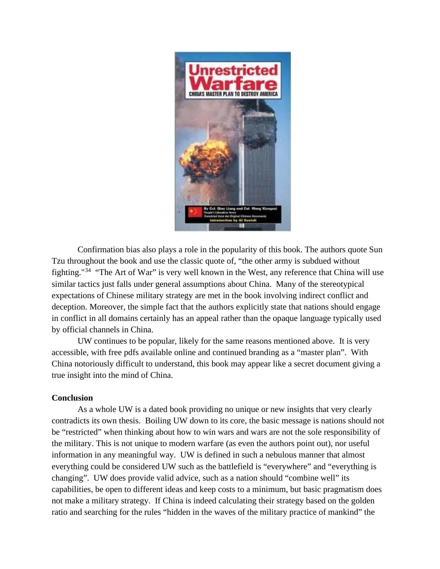

Confirmation bias also plays a role in the popularity of this book. The authors quote Sun Tzu throughout the book and use the classic quote of, "the other army is subdued without fighting."[34](#page-10-33) "The Art of War" is very well known in the West, any reference that China will use similar tactics just falls under general assumptions about China. Many of the stereotypical expectations of Chinese military strategy are met in the book involving indirect conflict and deception. Moreover, the simple fact that the authors explicitly state that nations should engage in conflict in all domains certainly has an appeal rather than the opaque language typically used by official channels in China.

UW continues to be popular, likely for the same reasons mentioned above. It is very accessible, with free pdfs available online and continued branding as a "master plan". With China notoriously difficult to understand, this book may appear like a secret document giving a true insight into the mind of China.

## **Conclusion**

As a whole UW is a dated book providing no unique or new insights that very clearly contradicts its own thesis. Boiling UW down to its core, the basic message is nations should not be "restricted" when thinking about how to win wars and wars are not the sole responsibility of the military. This is not unique to modern warfare (as even the authors point out), nor useful information in any meaningful way. UW is defined in such a nebulous manner that almost everything could be considered UW such as the battlefield is "everywhere" and "everything is changing". UW does provide valid advice, such as a nation should "combine well" its capabilities, be open to different ideas and keep costs to a minimum, but basic pragmatism does not make a military strategy. If China is indeed calculating their strategy based on the golden ratio and searching for the rules "hidden in the waves of the military practice of mankind" the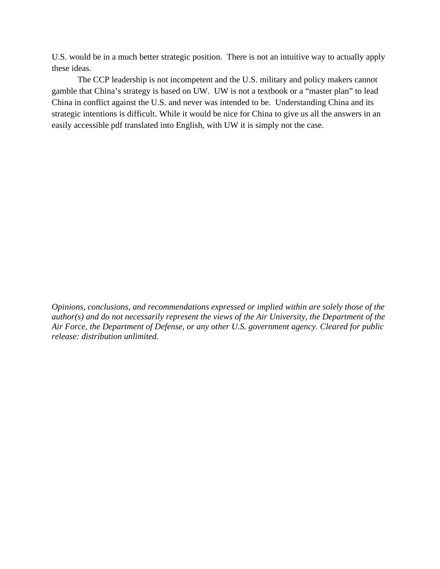U.S. would be in a much better strategic position. There is not an intuitive way to actually apply these ideas.

The CCP leadership is not incompetent and the U.S. military and policy makers cannot gamble that China's strategy is based on UW. UW is not a textbook or a "master plan" to lead China in conflict against the U.S. and never was intended to be. Understanding China and its strategic intentions is difficult. While it would be nice for China to give us all the answers in an easily accessible pdf translated into English, with UW it is simply not the case.

*Opinions, conclusions, and recommendations expressed or implied within are solely those of the author(s) and do not necessarily represent the views of the Air University, the Department of the Air Force, the Department of Defense, or any other U.S. government agency. Cleared for public release: distribution unlimited.*